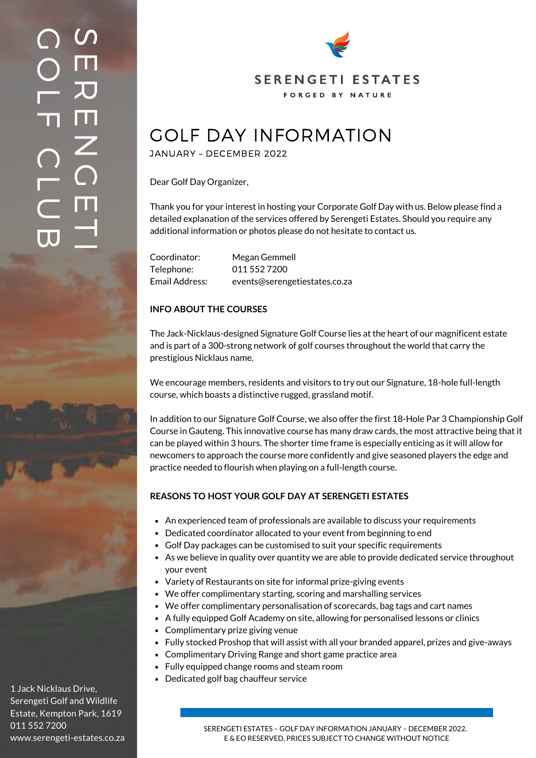

# GOLF DAY INFORMATION

JANUARY – DECEMBER 2022

Dear Golf Day Organizer,

Thank you for your interest in hosting your Corporate Golf Day with us. Below please find a detailed explanation of the services offered by Serengeti Estates. Should you require any additional information or photos please do not hesitate to contact us.

| Coordinator:   | Megan Gemmell                 |
|----------------|-------------------------------|
| Telephone:     | 011 552 7200                  |
| Email Address: | events@serengetiestates.co.za |

## **INFO ABOUT THE COURSES**

The Jack-Nicklaus-designed Signature Golf Course lies at the heart of our magnificent estate and is part of a 300-strong network of golf courses throughout the world that carry the prestigious Nicklaus name.

We encourage members, residents and visitors to try out our Signature, 18-hole full-length course, which boasts a distinctive rugged, grassland motif.

In addition to our Signature Golf Course, we also offer the first 18-Hole Par 3 Championship Golf Course in Gauteng. This innovative course has many draw cards, the most attractive being that it can be played within 3 hours. The shorter time frame is especially enticing as it will allow for newcomers to approach the course more confidently and give seasoned players the edge and practice needed to flourish when playing on a full-length course.

## **REASONS TO HOST YOUR GOLF DAY AT SERENGETI ESTATES**

- An experienced team of professionals are available to discuss your requirements
- Dedicated coordinator allocated to your event from beginning to end
- Golf Day packages can be customised to suit your specific requirements
- As we believe in quality over quantity we are able to provide dedicated service throughout your event
- Variety of Restaurants on site for informal prize-giving events
- We offer complimentary starting, scoring and marshalling services
- We offer complimentary personalisation of scorecards, bag tags and cart names
- A fully equipped Golf Academy on site, allowing for personalised lessons or clinics
- Complimentary prize giving venue
- Fully stocked Proshop that will assist with all your branded apparel, prizes and give-aways
- Complimentary Driving Range and short game practice area
- Fully equipped change rooms and steam room
- Dedicated golf bag chauffeur service

1 Jack Nicklaus Drive, Serengeti Golf and Wildlife Estate, Kempton Park, 1619 011 552 7200 www.serengeti-estates.co.za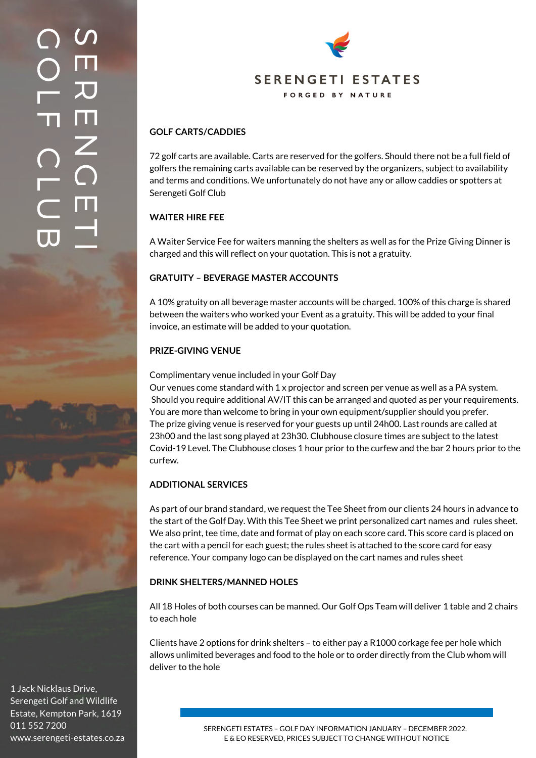

## **GOLF CARTS/CADDIES**

72 golf carts are available. Carts are reserved for the golfers. Should there not be a full field of golfers the remaining carts available can be reserved by the organizers, subject to availability and terms and conditions. We unfortunately do not have any or allow caddies or spotters at Serengeti Golf Club

#### **WAITER HIRE FEE**

A Waiter Service Fee for waiters manning the shelters as well as for the Prize Giving Dinner is charged and this will reflect on your quotation. This is not a gratuity.

#### **GRATUITY – BEVERAGE MASTER ACCOUNTS**

A 10% gratuity on all beverage master accounts will be charged. 100% of this charge is shared between the waiters who worked your Event as a gratuity. This will be added to your final invoice, an estimate will be added to your quotation.

#### **PRIZE-GIVING VENUE**

#### Complimentary venue included in your Golf Day

Our venues come standard with 1 x projector and screen per venue as well as a PA system. Should you require additional AV/IT this can be arranged and quoted as per your requirements. You are more than welcome to bring in your own equipment/supplier should you prefer. The prize giving venue is reserved for your guests up until 24h00. Last rounds are called at 23h00 and the last song played at 23h30. Clubhouse closure times are subject to the latest Covid-19 Level. The Clubhouse closes 1 hour prior to the curfew and the bar 2 hours prior to the curfew.

#### **ADDITIONAL SERVICES**

As part of our brand standard, we request the Tee Sheet from our clients 24 hours in advance to the start of the Golf Day. With this Tee Sheet we print personalized cart names and rules sheet. We also print, tee time, date and format of play on each score card. This score card is placed on the cart with a pencil for each guest; the rules sheet is attached to the score card for easy reference. Your company logo can be displayed on the cart names and rules sheet

#### **DRINK SHELTERS/MANNED HOLES**

All 18 Holes of both courses can be manned. Our Golf Ops Team will deliver 1 table and 2 chairs to each hole

Clients have 2 options for drink shelters – to either pay a R1000 corkage fee per hole which allows unlimited beverages and food to the hole or to order directly from the Club whom will deliver to the hole

1 Jack Nicklaus Drive, Serengeti Golf and Wildlife Estate, Kempton Park, 1619 011 552 7200 www.serengeti-estates.co.za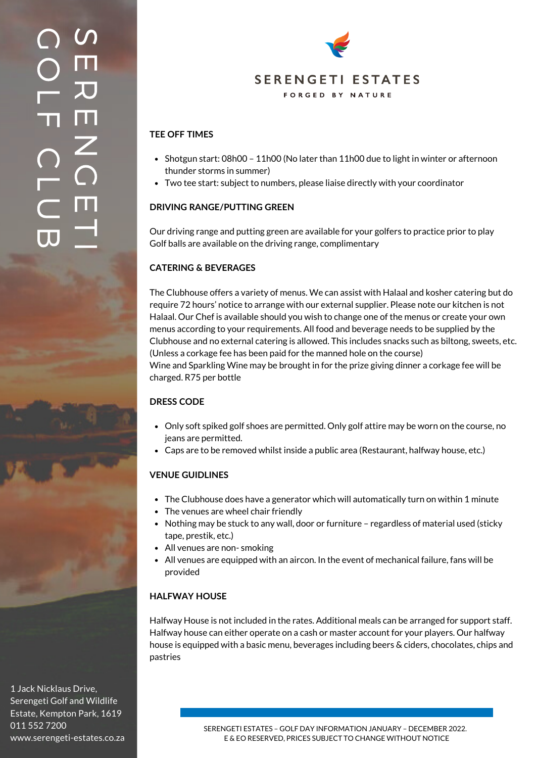## $\boldsymbol{\mathcal{S}}$ E  $\overline{\bm{\mathcal{L}}}$  $\blacksquare$  $\mathsf{Z}^+$  $\bigcap$  $\blacksquare$  $\overline{\phantom{0}}$ **Internet**  $\bigcirc$  $\bigcirc$ L  $\mathbf T$  $\bigcap$ L  $\subset$  $\overline{\mathsf{L}}$



## **TEE OFF TIMES**

- $\bullet$  Shotgun start: 08h00 11h00 (No later than 11h00 due to light in winter or afternoon thunder storms in summer)
- Two tee start: subject to numbers, please liaise directly with your coordinator

## **DRIVING RANGE/PUTTING GREEN**

Our driving range and putting green are available for your golfers to practice prior to play Golf balls are available on the driving range, complimentary

## **CATERING & BEVERAGES**

The Clubhouse offers a variety of menus. We can assist with Halaal and kosher catering but do require 72 hours' notice to arrange with our external supplier. Please note our kitchen is not Halaal. Our Chef is available should you wish to change one of the menus or create your own menus according to your requirements. All food and beverage needs to be supplied by the Clubhouse and no external catering is allowed. This includes snacks such as biltong, sweets, etc. (Unless a corkage fee has been paid for the manned hole on the course) Wine and Sparkling Wine may be brought in for the prize giving dinner a corkage fee will be charged. R75 per bottle

## **DRESS CODE**

- Only soft spiked golf shoes are permitted. Only golf attire may be worn on the course, no jeans are permitted.
- Caps are to be removed whilst inside a public area (Restaurant, halfway house, etc.)

## **VENUE GUIDLINES**

- The Clubhouse does have a generator which will automatically turn on within 1 minute
- The venues are wheel chair friendly
- Nothing may be stuck to any wall, door or furniture regardless of material used (sticky tape, prestik, etc.)
- All venues are non- smoking
- All venues are equipped with an aircon. In the event of mechanical failure, fans will be provided

## **HALFWAY HOUSE**

Halfway House is not included in the rates. Additional meals can be arranged for support staff. Halfway house can either operate on a cash or master account for your players. Our halfway house is equipped with a basic menu, beverages including beers & ciders, chocolates, chips and pastries

1 Jack Nicklaus Drive, Serengeti Golf and Wildlife Estate, Kempton Park, 1619 011 552 7200 www.serengeti-estates.co.za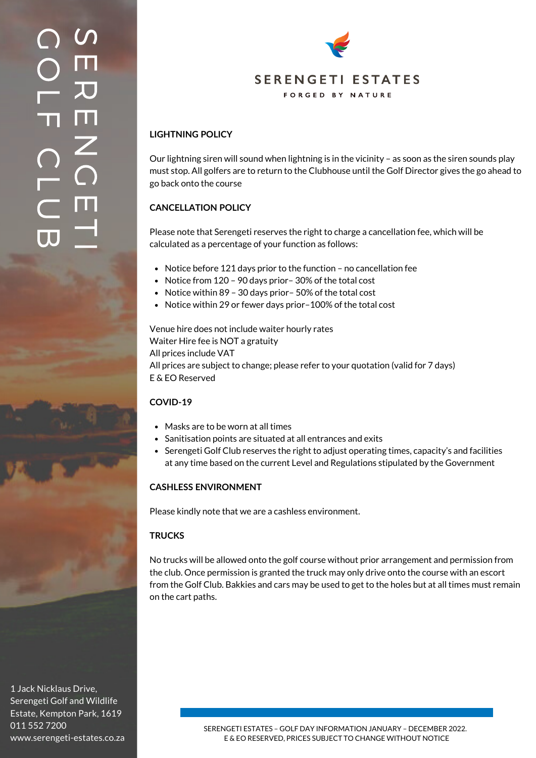

## **LIGHTNING POLICY**

Our lightning siren will sound when lightning is in the vicinity – as soon as the siren sounds play must stop. All golfers are to return to the Clubhouse until the Golf Director gives the go ahead to go back onto the course

## **CANCELLATION POLICY**

Please note that Serengeti reserves the right to charge a cancellation fee, which will be calculated as a percentage of your function as follows:

- Notice before 121 days prior to the function no cancellation fee
- Notice from 120 90 days prior 30% of the total cost
- Notice within 89 30 days prior– 50% of the total cost
- Notice within 29 or fewer days prior-100% of the total cost

Venue hire does not include waiter hourly rates Waiter Hire fee is NOT a gratuity All prices include VAT All prices are subject to change; please refer to your quotation (valid for 7 days) E & EO Reserved

## **COVID-19**

- Masks are to be worn at all times
- Sanitisation points are situated at all entrances and exits
- Serengeti Golf Club reserves the right to adjust operating times, capacity's and facilities at any time based on the current Level and Regulations stipulated by the Government

#### **CASHLESS ENVIRONMENT**

Please kindly note that we are a cashless environment.

## **TRUCKS**

No trucks will be allowed onto the golf course without prior arrangement and permission from the club. Once permission is granted the truck may only drive onto the course with an escort from the Golf Club. Bakkies and cars may be used to get to the holes but at all times must remain on the cart paths.

1 Jack Nicklaus Drive, Serengeti Golf and Wildlife Estate, Kempton Park, 1619 011 552 7200 www.serengeti-estates.co.za